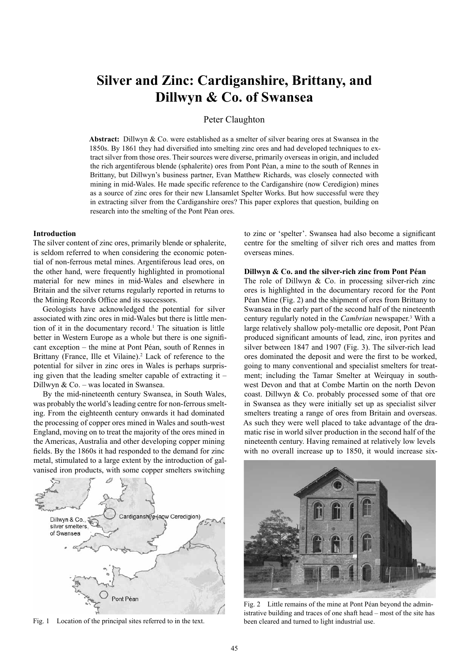# **Silver and Zinc: Cardiganshire, Brittany, and Dillwyn & Co. of Swansea**

# Peter Claughton

**Abstract:** Dillwyn & Co. were established as a smelter of silver bearing ores at Swansea in the 1850s. By 1861 they had diversified into smelting zinc ores and had developed techniques to extract silver from those ores. Their sources were diverse, primarily overseas in origin, and included the rich argentiferous blende (sphalerite) ores from Pont Péan, a mine to the south of Rennes in Brittany, but Dillwyn's business partner, Evan Matthew Richards, was closely connected with mining in mid-Wales. He made specific reference to the Cardiganshire (now Ceredigion) mines as a source of zinc ores for their new Llansamlet Spelter Works. But how successful were they in extracting silver from the Cardiganshire ores? This paper explores that question, building on research into the smelting of the Pont Péan ores.

### **Introduction**

The silver content of zinc ores, primarily blende or sphalerite, is seldom referred to when considering the economic potential of non-ferrous metal mines. Argentiferous lead ores, on the other hand, were frequently highlighted in promotional material for new mines in mid-Wales and elsewhere in Britain and the silver returns regularly reported in returns to the Mining Records Office and its successors.

Geologists have acknowledged the potential for silver associated with zinc ores in mid-Wales but there is little mention of it in the documentary record.<sup>1</sup> The situation is little better in Western Europe as a whole but there is one significant exception – the mine at Pont Péan, south of Rennes in Brittany (France, Ille et Vilaine).<sup>2</sup> Lack of reference to the potential for silver in zinc ores in Wales is perhaps surprising given that the leading smelter capable of extracting it  $-$ Dillwyn & Co. – was located in Swansea.

By the mid-nineteenth century Swansea, in South Wales, was probably the world's leading centre for non-ferrous smelting. From the eighteenth century onwards it had dominated the processing of copper ores mined in Wales and south-west England, moving on to treat the majority of the ores mined in the Americas, Australia and other developing copper mining fields. By the 1860s it had responded to the demand for zinc metal, stimulated to a large extent by the introduction of galvanised iron products, with some copper smelters switching

to zinc or 'spelter'. Swansea had also become a significant centre for the smelting of silver rich ores and mattes from overseas mines.

#### **Dillwyn & Co. and the silver-rich zinc from Pont Péan**

The role of Dillwyn & Co. in processing silver-rich zinc ores is highlighted in the documentary record for the Pont Péan Mine (Fig. 2) and the shipment of ores from Brittany to Swansea in the early part of the second half of the nineteenth century regularly noted in the *Cambrian* newspaper.3 With a large relatively shallow poly-metallic ore deposit, Pont Péan produced significant amounts of lead, zinc, iron pyrites and silver between 1847 and 1907 (Fig. 3). The silver-rich lead ores dominated the deposit and were the first to be worked, going to many conventional and specialist smelters for treatment; including the Tamar Smelter at Weirquay in southwest Devon and that at Combe Martin on the north Devon coast. Dillwyn & Co. probably processed some of that ore in Swansea as they were initially set up as specialist silver smelters treating a range of ores from Britain and overseas. As such they were well placed to take advantage of the dramatic rise in world silver production in the second half of the nineteenth century. Having remained at relatively low levels with no overall increase up to 1850, it would increase six-



Fig. 1 Location of the principal sites referred to in the text.



Fig. 2 Little remains of the mine at Pont Péan beyond the administrative building and traces of one shaft head – most of the site has been cleared and turned to light industrial use.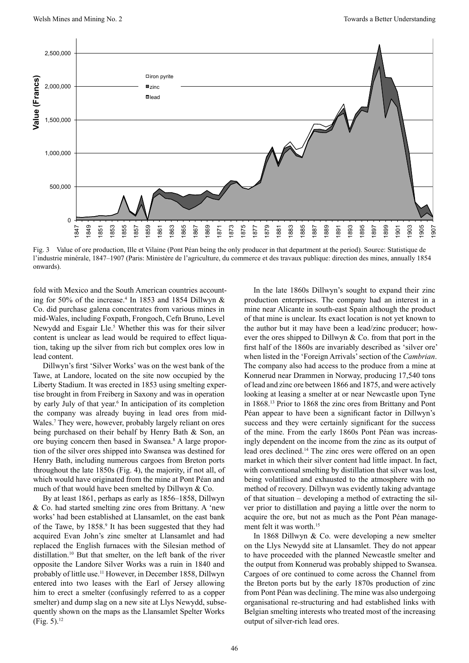

Fig. 3 Value of ore production, Ille et Vilaine (Pont Péan being the only producer in that department at the period). Source: Statistique de l'industrie minérale, 1847–1907 (Paris: Ministère de l'agriculture, du commerce et des travaux publique: direction des mines, annually 1854 onwards).

fold with Mexico and the South American countries accounting for 50% of the increase.<sup>4</sup> In 1853 and 1854 Dillwyn  $\&$ Co. did purchase galena concentrates from various mines in mid-Wales, including Foxpath, Frongoch, Cefn Bruno, Level Newydd and Esgair Lle.<sup>5</sup> Whether this was for their silver content is unclear as lead would be required to effect liquation, taking up the silver from rich but complex ores low in lead content.

Dillwyn's first 'Silver Works' was on the west bank of the Tawe, at Landore, located on the site now occupied by the Liberty Stadium. It was erected in 1853 using smelting expertise brought in from Freiberg in Saxony and was in operation by early July of that year.<sup>6</sup> In anticipation of its completion the company was already buying in lead ores from mid-Wales.<sup>7</sup> They were, however, probably largely reliant on ores being purchased on their behalf by Henry Bath & Son, an ore buying concern then based in Swansea.<sup>8</sup> A large proportion of the silver ores shipped into Swansea was destined for Henry Bath, including numerous cargoes from Breton ports throughout the late 1850s (Fig. 4), the majority, if not all, of which would have originated from the mine at Pont Péan and much of that would have been smelted by Dillwyn & Co.

By at least 1861, perhaps as early as 1856–1858, Dillwyn & Co. had started smelting zinc ores from Brittany. A 'new works' had been established at Llansamlet, on the east bank of the Tawe, by 1858.<sup>9</sup> It has been suggested that they had acquired Evan John's zinc smelter at Llansamlet and had replaced the English furnaces with the Silesian method of distillation.10 But that smelter, on the left bank of the river opposite the Landore Silver Works was a ruin in 1840 and probably of little use.11 However, in December 1858, Dillwyn entered into two leases with the Earl of Jersey allowing him to erect a smelter (confusingly referred to as a copper smelter) and dump slag on a new site at Llys Newydd, subsequently shown on the maps as the Llansamlet Spelter Works  $(Fig. 5).^{12}$ 

In the late 1860s Dillwyn's sought to expand their zinc production enterprises. The company had an interest in a mine near Alicante in south-east Spain although the product of that mine is unclear. Its exact location is not yet known to the author but it may have been a lead/zinc producer; however the ores shipped to Dillwyn & Co. from that port in the first half of the 1860s are invariably described as 'silver ore' when listed in the 'Foreign Arrivals' section of the *Cambrian*. The company also had access to the produce from a mine at Konnerud near Drammen in Norway, producing 17,540 tons of lead and zinc ore between 1866 and 1875, and were actively looking at leasing a smelter at or near Newcastle upon Tyne in 1868.13 Prior to 1868 the zinc ores from Brittany and Pont Péan appear to have been a significant factor in Dillwyn's success and they were certainly significant for the success of the mine. From the early 1860s Pont Péan was increasingly dependent on the income from the zinc as its output of lead ores declined.14 The zinc ores were offered on an open market in which their silver content had little impact. In fact, with conventional smelting by distillation that silver was lost, being volatilised and exhausted to the atmosphere with no method of recovery. Dillwyn was evidently taking advantage of that situation – developing a method of extracting the silver prior to distillation and paying a little over the norm to acquire the ore, but not as much as the Pont Péan management felt it was worth.<sup>15</sup>

In 1868 Dillwyn & Co. were developing a new smelter on the Llys Newydd site at Llansamlet. They do not appear to have proceeded with the planned Newcastle smelter and the output from Konnerud was probably shipped to Swansea. Cargoes of ore continued to come across the Channel from the Breton ports but by the early 1870s production of zinc from Pont Péan was declining. The mine was also undergoing organisational re-structuring and had established links with Belgian smelting interests who treated most of the increasing output of silver-rich lead ores.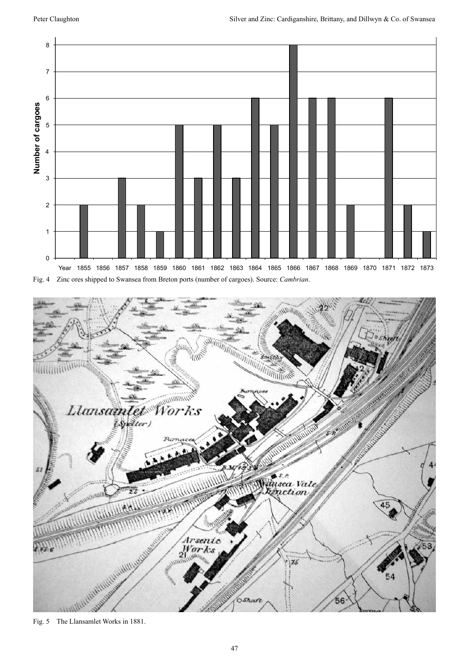

Fig. 4 Zinc ores shipped to Swansea from Breton ports (number of cargoes). Source: *Cambrian*.

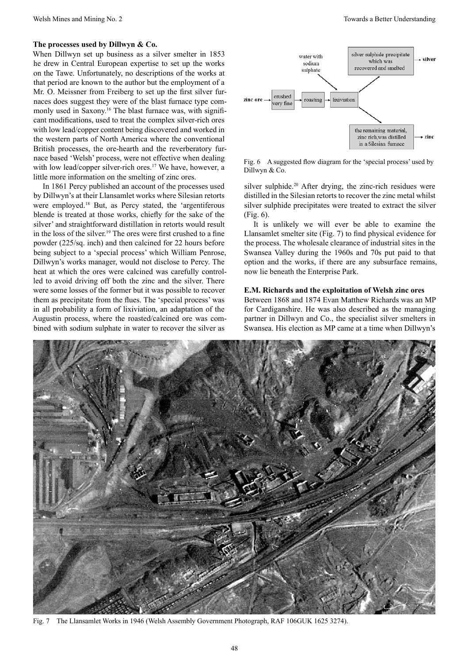When Dillwyn set up business as a silver smelter in 1853 he drew in Central European expertise to set up the works on the Tawe. Unfortunately, no descriptions of the works at that period are known to the author but the employment of a Mr. O. Meissner from Freiberg to set up the first silver furnaces does suggest they were of the blast furnace type commonly used in Saxony.<sup>16</sup> The blast furnace was, with significant modifications, used to treat the complex silver-rich ores with low lead/copper content being discovered and worked in the western parts of North America where the conventional British processes, the ore-hearth and the reverberatory furnace based 'Welsh' process, were not effective when dealing with low lead/copper silver-rich ores.<sup>17</sup> We have, however, a little more information on the smelting of zinc ores.

In 1861 Percy published an account of the processes used by Dillwyn's at their Llansamlet works where Silesian retorts were employed.18 But, as Percy stated, the 'argentiferous blende is treated at those works, chiefly for the sake of the silver' and straightforward distillation in retorts would result in the loss of the silver.19 The ores were first crushed to a fine powder (225/sq. inch) and then calcined for 22 hours before being subject to a 'special process' which William Penrose, Dillwyn's works manager, would not disclose to Percy. The heat at which the ores were calcined was carefully controlled to avoid driving off both the zinc and the silver. There were some losses of the former but it was possible to recover them as precipitate from the flues. The 'special process' was in all probability a form of lixiviation, an adaptation of the Augustin process, where the roasted/calcined ore was combined with sodium sulphate in water to recover the silver as



Fig. 6 A suggested flow diagram for the 'special process' used by Dillwyn & Co.

silver sulphide.<sup>20</sup> After drying, the zinc-rich residues were distilled in the Silesian retorts to recover the zinc metal whilst silver sulphide precipitates were treated to extract the silver (Fig. 6).

It is unlikely we will ever be able to examine the Llansamlet smelter site (Fig. 7) to find physical evidence for the process. The wholesale clearance of industrial sites in the Swansea Valley during the 1960s and 70s put paid to that option and the works, if there are any subsurface remains, now lie beneath the Enterprise Park.

## **E.M. Richards and the exploitation of Welsh zinc ores**

Between 1868 and 1874 Evan Matthew Richards was an MP for Cardiganshire. He was also described as the managing partner in Dillwyn and Co., the specialist silver smelters in Swansea. His election as MP came at a time when Dillwyn's



Fig. 7 The Llansamlet Works in 1946 (Welsh Assembly Government Photograph, RAF 106GUK 1625 3274).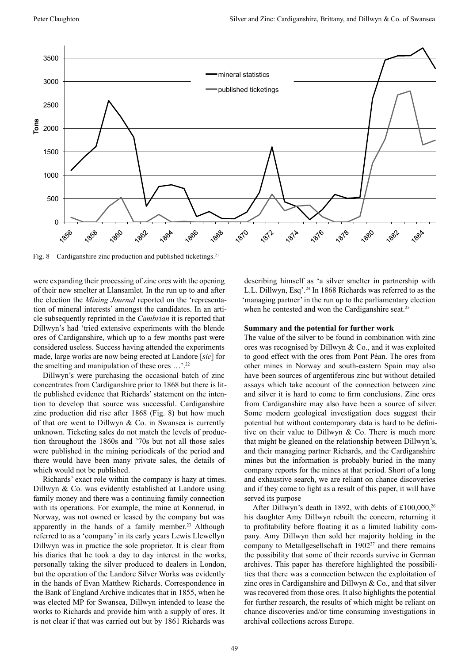

Fig. 8 Cardiganshire zinc production and published ticketings.<sup>21</sup>

were expanding their processing of zinc ores with the opening of their new smelter at Llansamlet. In the run up to and after the election the *Mining Journal* reported on the 'representation of mineral interests' amongst the candidates. In an article subsequently reprinted in the *Cambrian* it is reported that Dillwyn's had 'tried extensive experiments with the blende ores of Cardiganshire, which up to a few months past were considered useless. Success having attended the experiments made, large works are now being erected at Landore [*sic*] for the smelting and manipulation of these ores  $\dots$ .<sup>22</sup>

Dillwyn's were purchasing the occasional batch of zinc concentrates from Cardiganshire prior to 1868 but there is little published evidence that Richards' statement on the intention to develop that source was successful. Cardiganshire zinc production did rise after 1868 (Fig. 8) but how much of that ore went to Dillwyn & Co. in Swansea is currently unknown. Ticketing sales do not match the levels of production throughout the 1860s and '70s but not all those sales were published in the mining periodicals of the period and there would have been many private sales, the details of which would not be published.

Richards' exact role within the company is hazy at times. Dillwyn & Co. was evidently established at Landore using family money and there was a continuing family connection with its operations. For example, the mine at Konnerud, in Norway, was not owned or leased by the company but was apparently in the hands of a family member.<sup>23</sup> Although referred to as a 'company' in its early years Lewis Llewellyn Dillwyn was in practice the sole proprietor. It is clear from his diaries that he took a day to day interest in the works, personally taking the silver produced to dealers in London, but the operation of the Landore Silver Works was evidently in the hands of Evan Matthew Richards. Correspondence in the Bank of England Archive indicates that in 1855, when he was elected MP for Swansea, Dillwyn intended to lease the works to Richards and provide him with a supply of ores. It is not clear if that was carried out but by 1861 Richards was

describing himself as 'a silver smelter in partnership with L.L. Dillwyn, Esq'.24 In 1868 Richards was referred to as the 'managing partner' in the run up to the parliamentary election when he contested and won the Cardiganshire seat.<sup>25</sup>

## **Summary and the potential for further work**

The value of the silver to be found in combination with zinc ores was recognised by Dillwyn & Co., and it was exploited to good effect with the ores from Pont Péan. The ores from other mines in Norway and south-eastern Spain may also have been sources of argentiferous zinc but without detailed assays which take account of the connection between zinc and silver it is hard to come to firm conclusions. Zinc ores from Cardiganshire may also have been a source of silver. Some modern geological investigation does suggest their potential but without contemporary data is hard to be definitive on their value to Dillwyn & Co. There is much more that might be gleaned on the relationship between Dillwyn's, and their managing partner Richards, and the Cardiganshire mines but the information is probably buried in the many company reports for the mines at that period. Short of a long and exhaustive search, we are reliant on chance discoveries and if they come to light as a result of this paper, it will have served its purpose

After Dillwyn's death in 1892, with debts of  $£100,000,26$ his daughter Amy Dillwyn rebuilt the concern, returning it to profitability before floating it as a limited liability company. Amy Dillwyn then sold her majority holding in the company to Metallgesellschaft in  $1902<sup>27</sup>$  and there remains the possibility that some of their records survive in German archives. This paper has therefore highlighted the possibilities that there was a connection between the exploitation of zinc ores in Cardiganshire and Dillwyn & Co., and that silver was recovered from those ores. It also highlights the potential for further research, the results of which might be reliant on chance discoveries and/or time consuming investigations in archival collections across Europe.